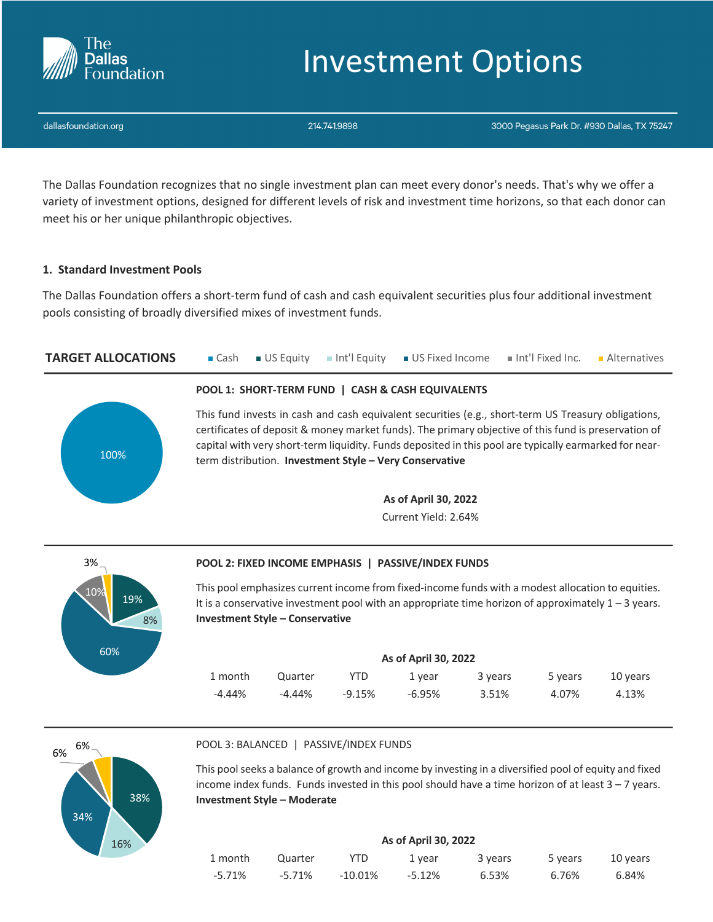

# Investment Options

dallasfoundation.org

214.741.9898

3000 Pegasus Park Dr. #930 Dallas, TX 75247

The Dallas Foundation recognizes that no single investment plan can meet every donor's needs. That's why we offer a variety of investment options, designed for different levels of risk and investment time horizons, so that each donor can meet his or her unique philanthropic objectives.

# **1. Standard Investment Pools**

The Dallas Foundation offers a short-term fund of cash and cash equivalent securities plus four additional investment pools consisting of broadly diversified mixes of investment funds.

**TARGET ALLOCATIONS Cash JUS Equity** Int'l Equity **JUS Fixed Income** Int'l Fixed Inc. Alternatives



# **POOL 1: SHORT-TERM FUND | CASH & CASH EQUIVALENTS**

This fund invests in cash and cash equivalent securities (e.g., short-term US Treasury obligations, certificates of deposit & money market funds). The primary objective of this fund is preservation of capital with very short-term liquidity. Funds deposited in this pool are typically earmarked for nearterm distribution. **Investment Style – Very Conservative**

> **As of April 30, 2022** Current Yield: 2.64%



# **POOL 2: FIXED INCOME EMPHASIS | PASSIVE/INDEX FUNDS**

This pool emphasizes current income from fixed-income funds with a modest allocation to equities. It is a conservative investment pool with an appropriate time horizon of approximately  $1 - 3$  years. **Investment Style – Conservative**

| As of April 30, 2022 |           |        |        |         |         |          |  |
|----------------------|-----------|--------|--------|---------|---------|----------|--|
| 1 month              | Quarter   | YTD    | 1 vear | 3 years | 5 years | 10 years |  |
| $-4.44\%$            | $-4.44\%$ | -9.15% | -6.95% | 3.51%   | 4.07%   | 4.13%    |  |



## POOL 3: BALANCED | PASSIVE/INDEX FUNDS

This pool seeks a balance of growth and income by investing in a diversified pool of equity and fixed income index funds. Funds invested in this pool should have a time horizon of at least  $3 - 7$  years. **Investment Style – Moderate**

| As of April 30, 2022 |         |         |          |         |         |          |  |
|----------------------|---------|---------|----------|---------|---------|----------|--|
| 1 month              | Quarter | YTD     | 1 vear   | 3 years | 5 years | 10 vears |  |
| $-5.71%$             | -5.71%  | -10.01% | $-5.12%$ | 6.53%   | 6.76%   | 6.84%    |  |